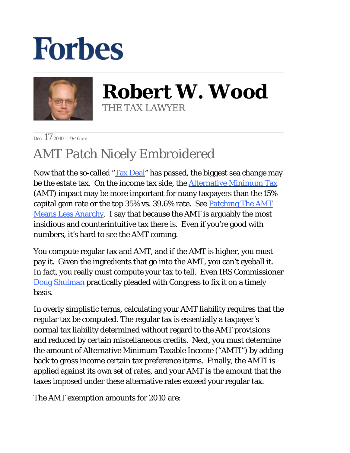## **Forbes**



**Robert W. Wood** THE TAX LAWYER

Dec.  $172010 - 9:46$  am

## AMT Patch Nicely Embroidered

Now that the so-called "[Tax Deal"](http://blogs.forbes.com/robertwood/2010/12/16/name-this-tax-deal/) has passed, the biggest sea change may be the estate tax. On the income tax side, the **Alternative Minimum Tax** [\(AM](http://www.irs.gov/taxtopics/tc556.html)T) impact may be more important for many taxpayers than the 15% capital gain rate or the top  $35\%$  vs.  $39.6\%$  rate. See **Patching The AMT** [Means Less Anarchy. I say](http://blogs.forbes.com/robertwood/2010/11/10/patching-the-amt-means-less-anarchy/) that because the AMT is arguably the most insidious and counterintuitive tax there is. Even if you're good with numbers, it's hard to see the AMT coming.

You compute regular tax and AMT, and if the AMT is higher, you must pay it. Given the ingredients that go into the AMT, you can't eyeball it. In fact, you really must compute your tax to tell. Even IRS Commissioner [Doug Shulman](http://finance.senate.gov/newsroom/chairman/release/?id=87ee21e0-ff40-4727-a0b2-a104c2a839ac) practically pleaded with Congress to fix it on a timely basis.

In overly simplistic terms, calculating your AMT liability requires that the regular tax be computed. The regular tax is essentially a taxpayer's normal tax liability determined without regard to the AMT provisions and reduced by certain miscellaneous credits. Next, you must determine the amount of Alternative Minimum Taxable Income ("AMTI") by adding back to gross income certain tax preference items. Finally, the AMTI is applied against its own set of rates, and your AMT is the amount that the taxes imposed under these alternative rates exceed your regular tax.

The AMT exemption amounts for 2010 are: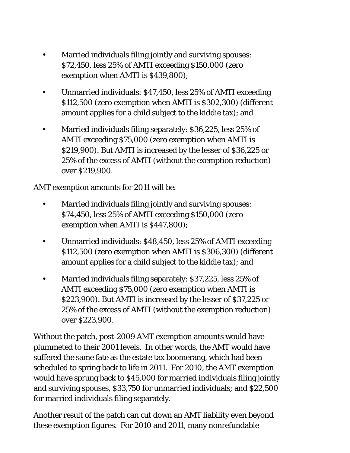- Married individuals filing jointly and surviving spouses: \$72,450, less 25% of AMTI exceeding \$150,000 (zero exemption when AMTI is \$439,800); •
- Unmarried individuals: \$47,450, less 25% of AMTI exceeding \$112,500 (zero exemption when AMTI is \$302,300) (different amount applies for a child subject to the kiddie tax); and •
- Married individuals filing separately: \$36,225, less 25% of AMTI exceeding \$75,000 (zero exemption when AMTI is \$219,900). But AMTI is increased by the lesser of \$36,225 or 25% of the excess of AMTI (without the exemption reduction) over \$219,900. •

AMT exemption amounts for 2011 will be:

- Married individuals filing jointly and surviving spouses: \$74,450, less 25% of AMTI exceeding \$150,000 (zero exemption when AMTI is \$447,800); •
- Unmarried individuals: \$48,450, less 25% of AMTI exceeding \$112,500 (zero exemption when AMTI is \$306,300) (different amount applies for a child subject to the kiddie tax); and •
- Married individuals filing separately: \$37,225, less 25% of AMTI exceeding \$75,000 (zero exemption when AMTI is \$223,900). But AMTI is increased by the lesser of \$37,225 or 25% of the excess of AMTI (without the exemption reduction) over \$223,900. •

Without the patch, post-2009 AMT exemption amounts would have plummeted to their 2001 levels. In other words, the AMT would have suffered the same fate as the estate tax boomerang, which had been scheduled to spring back to life in 2011. For 2010, the AMT exemption would have sprung back to \$45,000 for married individuals filing jointly and surviving spouses, \$33,750 for unmarried individuals; and \$22,500 for married individuals filing separately.

Another result of the patch can cut down an AMT liability even beyond these exemption figures. For 2010 and 2011, many nonrefundable